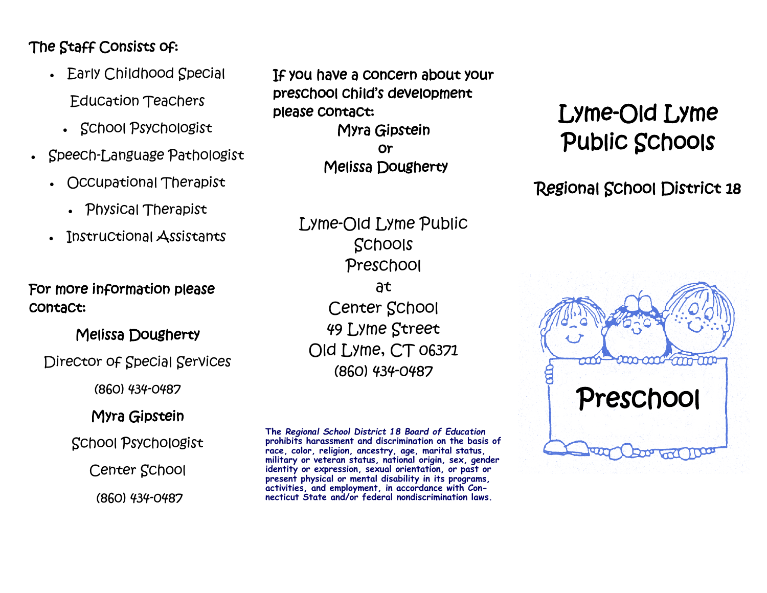# The Staff Consists of:

- Early Childhood Special Education Teachers
	- School Psychologist
- Speech-Language Pathologist
	- Occupational Therapist
		- Physical Therapist
	- Instructional Assistants

## For more information please contact:

## Melissa Dougherty

Director of Special Services

(860) 434-0487

## Myra Gipstein

## School Psychologist

Center School

(860) 434-0487

If you have a concern about your preschool child's development please contact: Myra Gipstein or Melissa Dougherty

> Lyme-Old Lyme Public Schools Preschool at Center School 49 Lyme Street Old Lyme, CT 06371 (860) 434-0487

**The** *Regional School District 18 Board of Education*  **prohibits harassment and discrimination on the basis of race, color, religion, ancestry, age, marital status, military or veteran status, national origin, sex, gender identity or expression, sexual orientation, or past or present physical or mental disability in its programs, activities, and employment, in accordance with Connecticut State and/or federal nondiscrimination laws.**

# Lyme-Old Lyme Public Schools

Regional School District 18